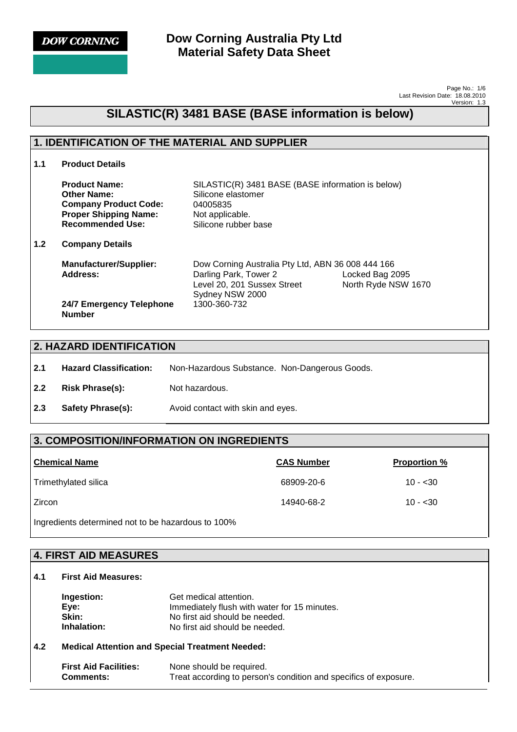**DOW CORNING** 

**Dow Corning Australia Pty Ltd Material Safety Data Sheet**

> Page No.: 1/6 Last Revision Date: 18.08.2010 Version: 1.3

# **SILASTIC(R) 3481 BASE (BASE information is below)**

### **1. IDENTIFICATION OF THE MATERIAL AND SUPPLIER**

**1.1 Product Details** 

|     | <b>Product Name:</b><br><b>Other Name:</b><br><b>Company Product Code:</b><br><b>Proper Shipping Name:</b><br><b>Recommended Use:</b> | SILASTIC(R) 3481 BASE (BASE information is below)<br>Silicone elastomer<br>04005835<br>Not applicable.<br>Silicone rubber base |                                        |
|-----|---------------------------------------------------------------------------------------------------------------------------------------|--------------------------------------------------------------------------------------------------------------------------------|----------------------------------------|
| 1.2 | <b>Company Details</b>                                                                                                                |                                                                                                                                |                                        |
|     | <b>Manufacturer/Supplier:</b><br>Address:                                                                                             | Dow Corning Australia Pty Ltd, ABN 36 008 444 166<br>Darling Park, Tower 2<br>Level 20, 201 Sussex Street<br>Sydney NSW 2000   | Locked Bag 2095<br>North Ryde NSW 1670 |
|     | 24/7 Emergency Telephone<br><b>Number</b>                                                                                             | 1300-360-732                                                                                                                   |                                        |

### **2. HAZARD IDENTIFICATION**

- **2.1 Hazard Classification:** Non-Hazardous Substance. Non-Dangerous Goods.
- 2.2 **Risk Phrase(s):** Not hazardous.
- **2.3 Safety Phrase(s):** Avoid contact with skin and eyes.

### **3. COMPOSITION/INFORMATION ON INGREDIENTS**

| <b>Chemical Name</b>                                                                                                                                                                                                                     | <b>CAS Number</b> | <b>Proportion %</b> |
|------------------------------------------------------------------------------------------------------------------------------------------------------------------------------------------------------------------------------------------|-------------------|---------------------|
| Trimethylated silica                                                                                                                                                                                                                     | 68909-20-6        | $10 - 30$           |
| l Zircon                                                                                                                                                                                                                                 | 14940-68-2        | $10 - 30$           |
| . .<br>$\mathbf{u}$ . The set of the set of the set of the set of the set of the set of the set of the set of the set of the set of the set of the set of the set of the set of the set of the set of the set of the set of the set of t |                   |                     |

Ingredients determined not to be hazardous to 100%

|     | 4. FIRST AID MEASURES                      |                                                                                                                                            |  |
|-----|--------------------------------------------|--------------------------------------------------------------------------------------------------------------------------------------------|--|
| 4.1 | <b>First Aid Measures:</b>                 |                                                                                                                                            |  |
|     | Ingestion:<br>Eye:<br>Skin:<br>Inhalation: | Get medical attention.<br>Immediately flush with water for 15 minutes.<br>No first aid should be needed.<br>No first aid should be needed. |  |
| 4.2 |                                            | <b>Medical Attention and Special Treatment Needed:</b>                                                                                     |  |
|     | <b>First Aid Facilities:</b><br>Comments:  | None should be required.<br>Treat according to person's condition and specifics of exposure.                                               |  |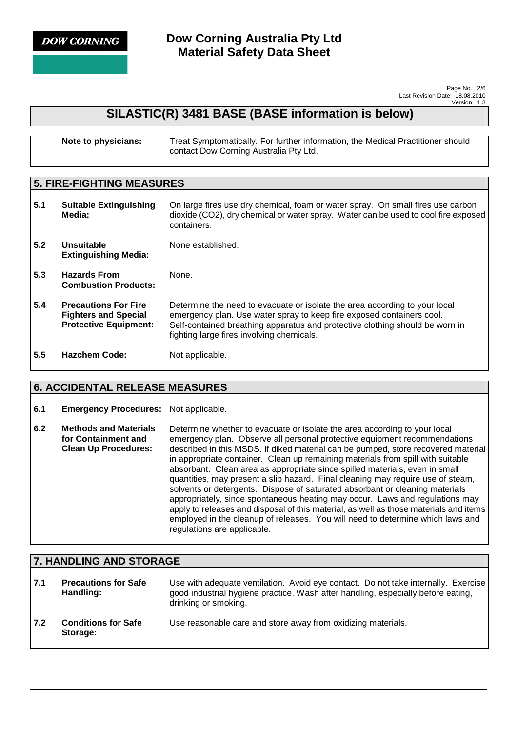

Page No.: 2/6 Last Revision Date: 18.08.2010 Version: 1.3

## **SILASTIC(R) 3481 BASE (BASE information is below)**

| Note to physicians: | Treat Symptomatically. For further information, the Medical Practitioner should |
|---------------------|---------------------------------------------------------------------------------|
|                     | contact Dow Corning Australia Pty Ltd.                                          |

## **5. FIRE-FIGHTING MEASURES**

| 5.1 | <b>Suitable Extinguishing</b><br>Media:                                                    | On large fires use dry chemical, foam or water spray. On small fires use carbon<br>dioxide (CO2), dry chemical or water spray. Water can be used to cool fire exposed<br>containers.                                                                                             |
|-----|--------------------------------------------------------------------------------------------|----------------------------------------------------------------------------------------------------------------------------------------------------------------------------------------------------------------------------------------------------------------------------------|
| 5.2 | Unsuitable<br><b>Extinguishing Media:</b>                                                  | None established.                                                                                                                                                                                                                                                                |
| 5.3 | <b>Hazards From</b><br><b>Combustion Products:</b>                                         | None.                                                                                                                                                                                                                                                                            |
| 5.4 | <b>Precautions For Fire</b><br><b>Fighters and Special</b><br><b>Protective Equipment:</b> | Determine the need to evacuate or isolate the area according to your local<br>emergency plan. Use water spray to keep fire exposed containers cool.<br>Self-contained breathing apparatus and protective clothing should be worn in<br>fighting large fires involving chemicals. |
| 5.5 | <b>Hazchem Code:</b>                                                                       | Not applicable.                                                                                                                                                                                                                                                                  |

## **6. ACCIDENTAL RELEASE MEASURES**

#### **6.1 Emergency Procedures:** Not applicable.

**6.2 Methods and Materials for Containment and Clean Up Procedures:**  Determine whether to evacuate or isolate the area according to your local emergency plan. Observe all personal protective equipment recommendations described in this MSDS. If diked material can be pumped, store recovered material in appropriate container. Clean up remaining materials from spill with suitable absorbant. Clean area as appropriate since spilled materials, even in small quantities, may present a slip hazard. Final cleaning may require use of steam, solvents or detergents. Dispose of saturated absorbant or cleaning materials appropriately, since spontaneous heating may occur. Laws and regulations may apply to releases and disposal of this material, as well as those materials and items employed in the cleanup of releases. You will need to determine which laws and regulations are applicable.

| 7. HANDLING AND STORAGE |                                          |                                                                                                                                                                                                |
|-------------------------|------------------------------------------|------------------------------------------------------------------------------------------------------------------------------------------------------------------------------------------------|
| 7.1                     | <b>Precautions for Safe</b><br>Handling: | Use with adequate ventilation. Avoid eye contact. Do not take internally. Exercise<br>good industrial hygiene practice. Wash after handling, especially before eating,<br>drinking or smoking. |
| 7.2                     | <b>Conditions for Safe</b><br>Storage:   | Use reasonable care and store away from oxidizing materials.                                                                                                                                   |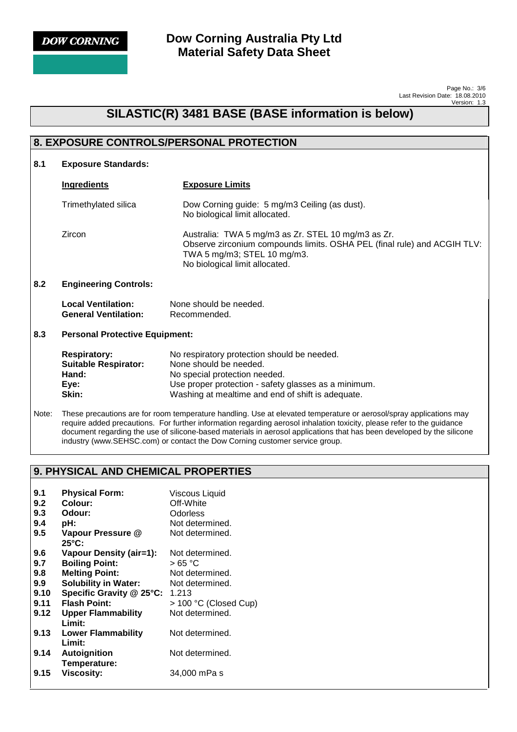

**Dow Corning Australia Pty Ltd Material Safety Data Sheet**

> Page No.: 3/6 Last Revision Date: 18.08.2010 Version: 1.3

## **SILASTIC(R) 3481 BASE (BASE information is below)**

## **8. EXPOSURE CONTROLS/PERSONAL PROTECTION 8.1 Exposure Standards: Ingredients Exposure Limits** Trimethylated silica Dow Corning guide: 5 mg/m3 Ceiling (as dust). No biological limit allocated. Zircon Australia: TWA 5 mg/m3 as Zr. STEL 10 mg/m3 as Zr. Observe zirconium compounds limits. OSHA PEL (final rule) and ACGIH TLV: TWA 5 mg/m3; STEL 10 mg/m3. No biological limit allocated. **8.2 Engineering Controls: Local Ventilation:** None should be needed. **General Ventilation:** Recommended. **8.3 Personal Protective Equipment: Respiratory:** No respiratory protection should be needed.  **Suitable Respirator:** None should be needed. Hand: No special protection needed. **Eye:** Use proper protection - safety glasses as a minimum. **Skin:** Washing at mealtime and end of shift is adequate.

Note: These precautions are for room temperature handling. Use at elevated temperature or aerosol/spray applications may require added precautions. For further information regarding aerosol inhalation toxicity, please refer to the guidance document regarding the use of silicone-based materials in aerosol applications that has been developed by the silicone industry (www.SEHSC.com) or contact the Dow Corning customer service group.

## **9. PHYSICAL AND CHEMICAL PROPERTIES**

| 9.1<br>9.2 | <b>Physical Form:</b><br>Colour:    | <b>Viscous Liquid</b><br>Off-White |
|------------|-------------------------------------|------------------------------------|
| 9.3        | Odour:                              | Odorless                           |
| 9.4        | pH:                                 | Not determined.                    |
| 9.5        | Vapour Pressure @<br>25°C:          | Not determined.                    |
| 9.6        | <b>Vapour Density (air=1):</b>      | Not determined.                    |
| 9.7        | <b>Boiling Point:</b>               | >65 °C                             |
| 9.8        | <b>Melting Point:</b>               | Not determined.                    |
| 9.9        | <b>Solubility in Water:</b>         | Not determined.                    |
| 9.10       | Specific Gravity @ 25°C:            | 1.213                              |
| 9.11       | <b>Flash Point:</b>                 | > 100 °C (Closed Cup)              |
| 9.12       | <b>Upper Flammability</b><br>Limit: | Not determined.                    |
| 9.13       | <b>Lower Flammability</b><br>Limit: | Not determined.                    |
| 9.14       | Autoignition<br>Temperature:        | Not determined.                    |
| 9.15       | <b>Viscosity:</b>                   | 34,000 mPa s                       |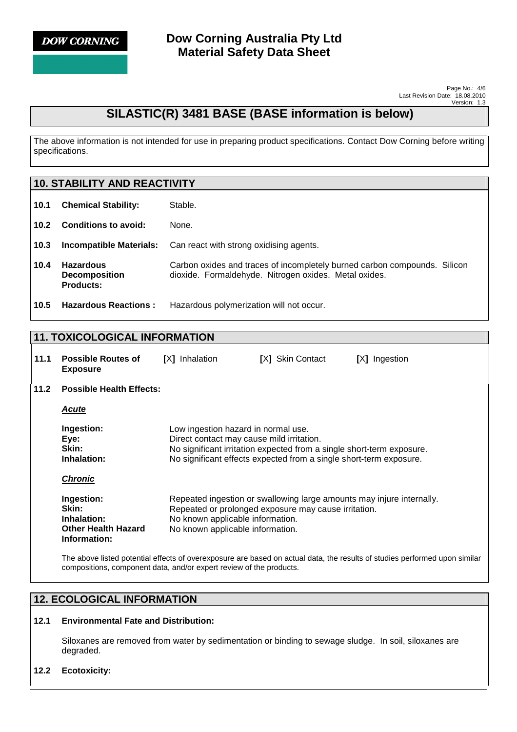

## **SILASTIC(R) 3481 BASE (BASE information is below)**

The above information is not intended for use in preparing product specifications. Contact Dow Corning before writing specifications.

## **10. STABILITY AND REACTIVITY 10.1 Chemical Stability:** Stable. **10.2 Conditions to avoid:** None. **10.3 Incompatible Materials:** Can react with strong oxidising agents. **10.4 Hazardous Decomposition Products:**  Carbon oxides and traces of incompletely burned carbon compounds. Silicon dioxide. Formaldehyde. Nitrogen oxides. Metal oxides. **10.5 Hazardous Reactions :** Hazardous polymerization will not occur.

### **11. TOXICOLOGICAL INFORMATION**

| 11.1 | <b>Possible Routes of</b><br><b>Exposure</b>                                     | Inhalation<br>IXI                                                                | <b>[X] Skin Contact</b>                                                                                                                     | [X] Ingestion |
|------|----------------------------------------------------------------------------------|----------------------------------------------------------------------------------|---------------------------------------------------------------------------------------------------------------------------------------------|---------------|
| 11.2 | <b>Possible Health Effects:</b>                                                  |                                                                                  |                                                                                                                                             |               |
|      | <b>Acute</b>                                                                     |                                                                                  |                                                                                                                                             |               |
|      | Ingestion:<br>Eye:<br>Skin:<br>Inhalation:<br><b>Chronic</b>                     | Low ingestion hazard in normal use.<br>Direct contact may cause mild irritation. | No significant irritation expected from a single short-term exposure.<br>No significant effects expected from a single short-term exposure. |               |
|      | Ingestion:<br>Skin:<br>Inhalation:<br><b>Other Health Hazard</b><br>Information: | No known applicable information.<br>No known applicable information.             | Repeated ingestion or swallowing large amounts may injure internally.<br>Repeated or prolonged exposure may cause irritation.               |               |

The above listed potential effects of overexposure are based on actual data, the results of studies performed upon similar compositions, component data, and/or expert review of the products.

## **12. ECOLOGICAL INFORMATION**

#### **12.1 Environmental Fate and Distribution:**

Siloxanes are removed from water by sedimentation or binding to sewage sludge. In soil, siloxanes are degraded.

#### **12.2 Ecotoxicity:**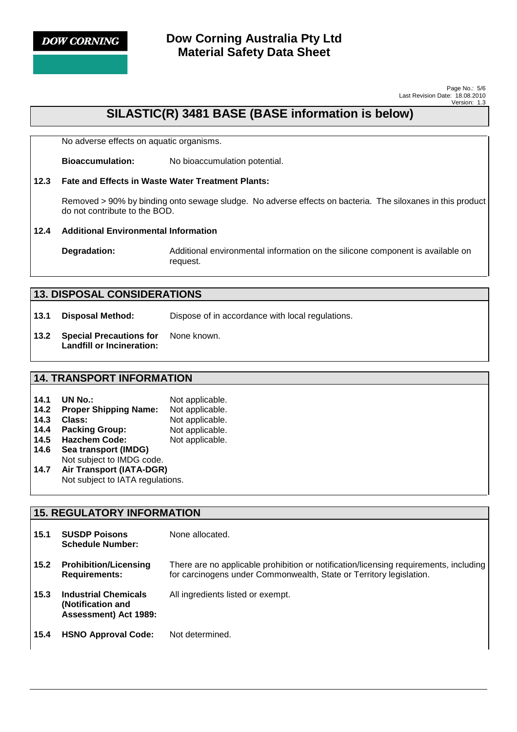

## **Dow Corning Australia Pty Ltd Material Safety Data Sheet**

Page No.: 5/6 Last Revision Date: 18.08.2010 Version: 1.3

## **SILASTIC(R) 3481 BASE (BASE information is below)**

No adverse effects on aquatic organisms.

 **Bioaccumulation:** No bioaccumulation potential.

#### **12.3 Fate and Effects in Waste Water Treatment Plants:**

Removed > 90% by binding onto sewage sludge. No adverse effects on bacteria. The siloxanes in this product do not contribute to the BOD.

#### **12.4 Additional Environmental Information**

**Degradation:** Additional environmental information on the silicone component is available on request.

| <b>13. DISPOSAL CONSIDERATIONS</b> |                                                             |                                                  |
|------------------------------------|-------------------------------------------------------------|--------------------------------------------------|
| 13.1                               | Disposal Method:                                            | Dispose of in accordance with local regulations. |
| 13.2                               | <b>Special Precautions for</b><br>Landfill or Incineration: | None known.                                      |

### **14. TRANSPORT INFORMATION**

| 14.1 | UN No.:                          | Not applicable. |
|------|----------------------------------|-----------------|
| 14.2 | <b>Proper Shipping Name:</b>     | Not applicable. |
| 14.3 | Class:                           | Not applicable. |
| 14.4 | <b>Packing Group:</b>            | Not applicable. |
| 14.5 | <b>Hazchem Code:</b>             | Not applicable. |
| 14.6 | Sea transport (IMDG)             |                 |
|      | Not subject to IMDG code.        |                 |
| 14.7 | Air Transport (IATA-DGR)         |                 |
|      | Not subject to IATA regulations. |                 |

### **15. REGULATORY INFORMATION 15.1 SUSDP Poisons Schedule Number:**  None allocated. **15.2 Prohibition/Licensing Requirements:**  There are no applicable prohibition or notification/licensing requirements, including for carcinogens under Commonwealth, State or Territory legislation. **15.3 Industrial Chemicals (Notification and Assessment) Act 1989:**  All ingredients listed or exempt. **15.4 HSNO Approval Code:** Not determined.